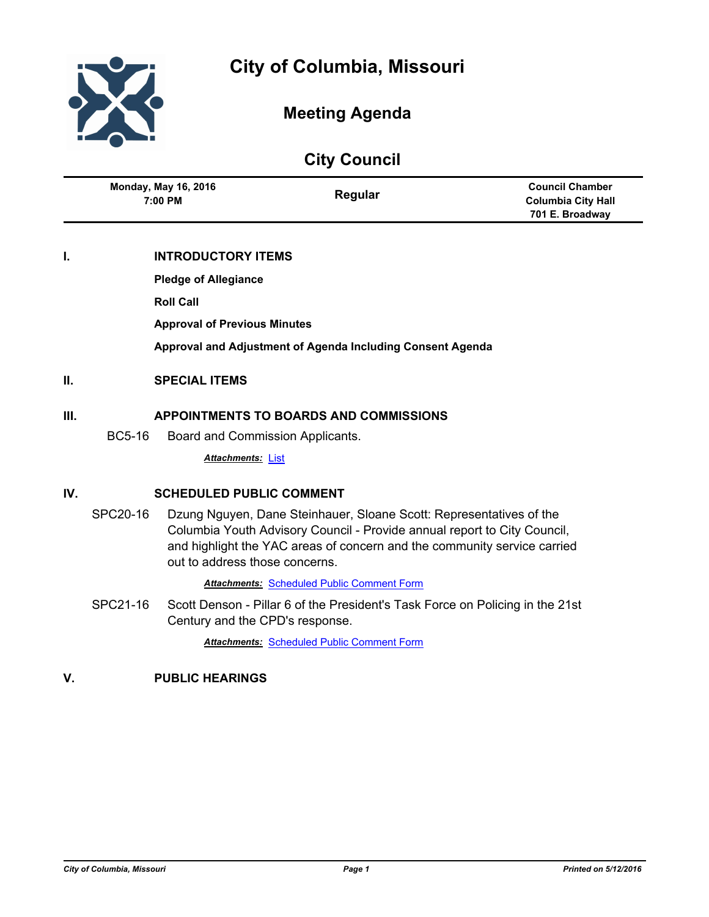

# **Meeting Agenda**

|                                        | <b>City Council</b> |                                                     |
|----------------------------------------|---------------------|-----------------------------------------------------|
| <b>Monday, May 16, 2016</b><br>7:00 PM | Regular             | <b>Council Chamber</b><br><b>Columbia City Hall</b> |
|                                        |                     | 701 E. Broadway                                     |

## **I. INTRODUCTORY ITEMS**

**Pledge of Allegiance**

**Roll Call**

**Approval of Previous Minutes**

**Approval and Adjustment of Agenda Including Consent Agenda**

## **II. SPECIAL ITEMS**

## **III. APPOINTMENTS TO BOARDS AND COMMISSIONS**

BC5-16 Board and Commission Applicants.

*Attachments:* [List](http://gocolumbiamo.legistar.com/gateway.aspx?M=F&ID=e5113eae-53e7-4553-af10-a03d747188d0.pdf)

## **IV. SCHEDULED PUBLIC COMMENT**

SPC20-16 Dzung Nguyen, Dane Steinhauer, Sloane Scott: Representatives of the Columbia Youth Advisory Council - Provide annual report to City Council, and highlight the YAC areas of concern and the community service carried out to address those concerns.

**Attachments: [Scheduled Public Comment Form](http://gocolumbiamo.legistar.com/gateway.aspx?M=F&ID=a24fe86e-5c1a-47e6-81d9-06bb2214dacd.pdf)** 

SPC21-16 Scott Denson - Pillar 6 of the President's Task Force on Policing in the 21st Century and the CPD's response.

*Attachments:* [Scheduled Public Comment Form](http://gocolumbiamo.legistar.com/gateway.aspx?M=F&ID=60784dda-420d-4d57-a6f3-45f9689aece3.pdf)

## **V. PUBLIC HEARINGS**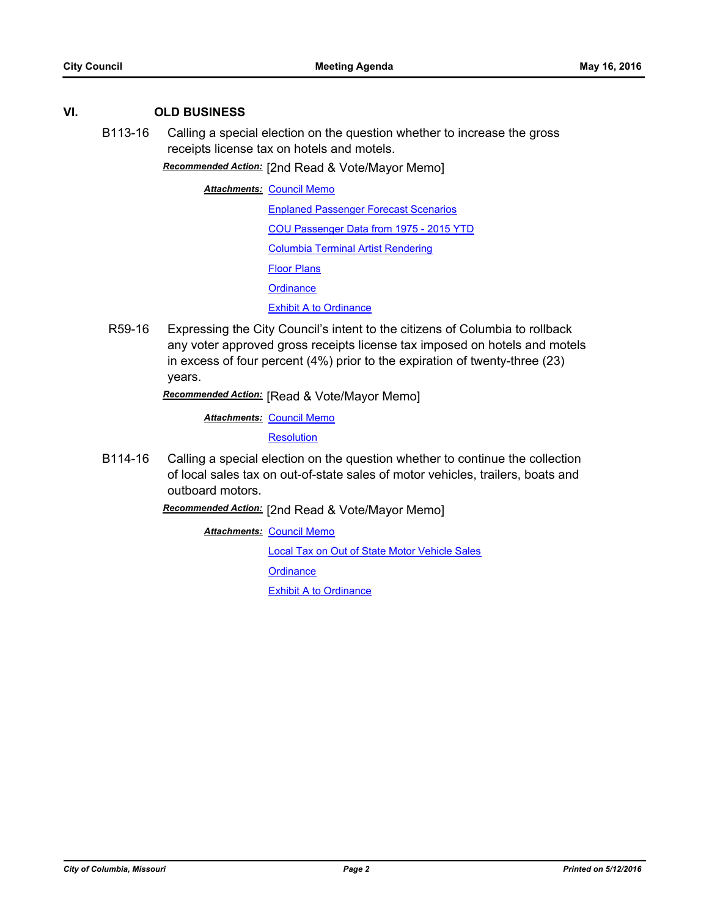## **VI. OLD BUSINESS**

B113-16 Calling a special election on the question whether to increase the gross receipts license tax on hotels and motels.

*Recommended Action:* [2nd Read & Vote/Mayor Memo]

**Attachments: [Council Memo](http://gocolumbiamo.legistar.com/gateway.aspx?M=F&ID=824c047d-e5ba-421c-910a-8c3f43f4cb49.docx)** 

[Enplaned Passenger Forecast Scenarios](http://gocolumbiamo.legistar.com/gateway.aspx?M=F&ID=e29a3eb5-55bd-49b7-90dd-6b3bca0e5fc1.JPG)

[COU Passenger Data from 1975 - 2015 YTD](http://gocolumbiamo.legistar.com/gateway.aspx?M=F&ID=8a1d0cb1-47df-4760-a4a9-afea7af2e590.pdf)

[Columbia Terminal Artist Rendering](http://gocolumbiamo.legistar.com/gateway.aspx?M=F&ID=e638b7d1-aa30-4448-87ee-7aaa3216473c.pdf)

[Floor Plans](http://gocolumbiamo.legistar.com/gateway.aspx?M=F&ID=12364e63-afce-405f-b734-dea52f44cdef.pdf)

**[Ordinance](http://gocolumbiamo.legistar.com/gateway.aspx?M=F&ID=a08ecbdd-fcdd-4575-affe-b60e8615b2a6.doc)** 

[Exhibit A to Ordinance](http://gocolumbiamo.legistar.com/gateway.aspx?M=F&ID=e8fa0f82-c04e-49af-878c-425a98ee6fef.doc)

R59-16 Expressing the City Council's intent to the citizens of Columbia to rollback any voter approved gross receipts license tax imposed on hotels and motels in excess of four percent (4%) prior to the expiration of twenty-three (23) years.

*Recommended Action:* [Read & Vote/Mayor Memo]

**Attachments: [Council Memo](http://gocolumbiamo.legistar.com/gateway.aspx?M=F&ID=6d91cf1d-5af1-42fa-8f2c-e55b18277b64.docx)** 

**[Resolution](http://gocolumbiamo.legistar.com/gateway.aspx?M=F&ID=4c23cda9-88a7-425f-9c86-18258cb0bd75.doc)** 

B114-16 Calling a special election on the question whether to continue the collection of local sales tax on out-of-state sales of motor vehicles, trailers, boats and outboard motors.

*Recommended Action:* [2nd Read & Vote/Mayor Memo]

**Attachments: [Council Memo](http://gocolumbiamo.legistar.com/gateway.aspx?M=F&ID=f08b26c3-b23d-4175-acb5-0ab37f7b2c9a.docx)** [Local Tax on Out of State Motor Vehicle Sales](http://gocolumbiamo.legistar.com/gateway.aspx?M=F&ID=da974f1c-9cb6-42d0-a9b8-9b591c1c8357.pdf) **[Ordinance](http://gocolumbiamo.legistar.com/gateway.aspx?M=F&ID=33105510-d010-4792-8297-a5577ded6461.doc)** [Exhibit A to Ordinance](http://gocolumbiamo.legistar.com/gateway.aspx?M=F&ID=31017af1-6e75-4cb9-b7f9-5dc79557b793.doc)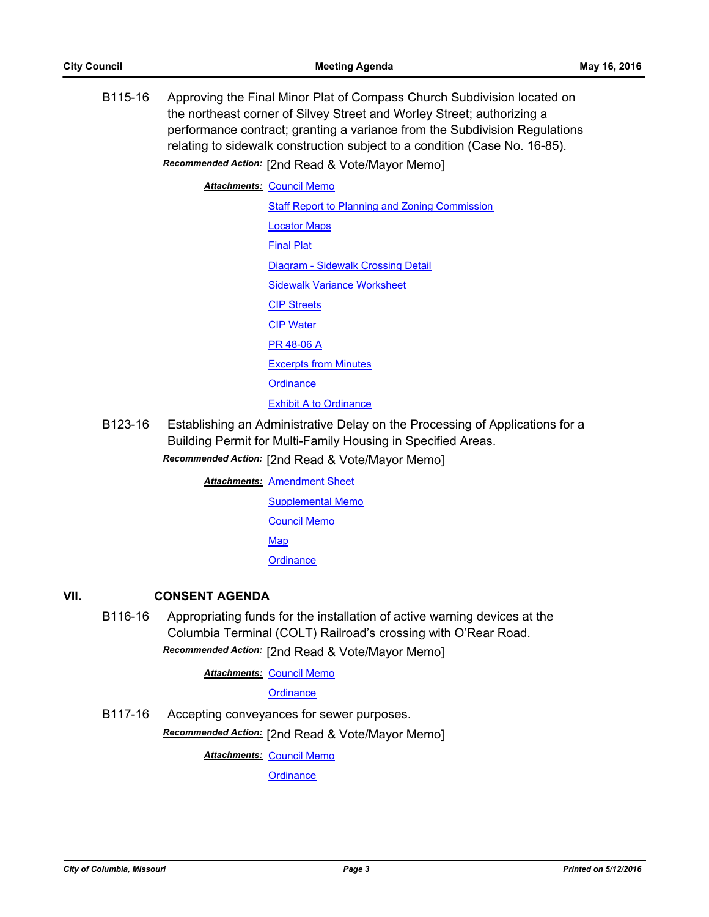B115-16 Approving the Final Minor Plat of Compass Church Subdivision located on the northeast corner of Silvey Street and Worley Street; authorizing a performance contract; granting a variance from the Subdivision Regulations relating to sidewalk construction subject to a condition (Case No. 16-85). *Recommended Action:* [2nd Read & Vote/Mayor Memo]

> **Attachments: [Council Memo](http://gocolumbiamo.legistar.com/gateway.aspx?M=F&ID=3e9da9fb-d71e-4377-a4ff-c42e13c45798.docx) [Staff Report to Planning and Zoning Commission](http://gocolumbiamo.legistar.com/gateway.aspx?M=F&ID=b353b944-99eb-4d3b-adf2-f4eb3feaccfc.docx)** [Locator Maps](http://gocolumbiamo.legistar.com/gateway.aspx?M=F&ID=8f7995f5-ef70-4b34-93fb-77349fb81a75.pdf) [Final Plat](http://gocolumbiamo.legistar.com/gateway.aspx?M=F&ID=a03f42f0-3bb1-4c58-8550-06edf6bf0d34.pdf) [Diagram - Sidewalk Crossing Detail](http://gocolumbiamo.legistar.com/gateway.aspx?M=F&ID=c9d59163-500a-4ce0-8c25-5b33012af5bf.pdf) [Sidewalk Variance Worksheet](http://gocolumbiamo.legistar.com/gateway.aspx?M=F&ID=90f57fca-e999-4ede-92ef-195b04d70f80.pdf) [CIP Streets](http://gocolumbiamo.legistar.com/gateway.aspx?M=F&ID=eb68e13a-eac7-42d0-a539-dd1bb1e63fa0.pdf) [CIP Water](http://gocolumbiamo.legistar.com/gateway.aspx?M=F&ID=841c7e9d-c98d-4493-a91c-1e023012d9d1.pdf) [PR 48-06 A](http://gocolumbiamo.legistar.com/gateway.aspx?M=F&ID=49f388c5-b07a-4ced-b13c-860d65f8508f.pdf) [Excerpts from Minutes](http://gocolumbiamo.legistar.com/gateway.aspx?M=F&ID=712a3de9-b93f-454b-aed7-74a9fb7b0720.docx) **[Ordinance](http://gocolumbiamo.legistar.com/gateway.aspx?M=F&ID=2451a9f7-b163-45ea-89a8-9160244a0f61.doc)** [Exhibit A to Ordinance](http://gocolumbiamo.legistar.com/gateway.aspx?M=F&ID=2056c071-a1b8-434f-a0fc-ca2faaa37423.pdf)

B123-16 Establishing an Administrative Delay on the Processing of Applications for a Building Permit for Multi-Family Housing in Specified Areas.

*Recommended Action:* [2nd Read & Vote/Mayor Memo]

**Attachments: [Amendment Sheet](http://gocolumbiamo.legistar.com/gateway.aspx?M=F&ID=3aee0417-b80c-477b-9795-a814fce13895.pdf)** [Supplemental Memo](http://gocolumbiamo.legistar.com/gateway.aspx?M=F&ID=e11ea800-ba7d-42b6-914b-89f11674ae53.docx)

[Council Memo](http://gocolumbiamo.legistar.com/gateway.aspx?M=F&ID=02cbc543-6ddc-469b-94f3-6c06c8c5e0c8.docx)

**[Map](http://gocolumbiamo.legistar.com/gateway.aspx?M=F&ID=ae4f21f9-5cdc-4967-ba19-4fde33bf0f44.pdf)** 

**[Ordinance](http://gocolumbiamo.legistar.com/gateway.aspx?M=F&ID=71654854-9a84-43d3-9c01-66d9bc5fbed3.doc)** 

## **VII. CONSENT AGENDA**

B116-16 Appropriating funds for the installation of active warning devices at the Columbia Terminal (COLT) Railroad's crossing with O'Rear Road. *Recommended Action:* [2nd Read & Vote/Mayor Memo]

**Attachments: [Council Memo](http://gocolumbiamo.legistar.com/gateway.aspx?M=F&ID=63277d83-6a72-462d-a131-7be17148299d.docx)** 

## **[Ordinance](http://gocolumbiamo.legistar.com/gateway.aspx?M=F&ID=965c91c3-5e10-46e7-8d3b-0c7a8504c972.doc)**

B117-16 Accepting conveyances for sewer purposes. *Recommended Action:* [2nd Read & Vote/Mayor Memo]

**Attachments: [Council Memo](http://gocolumbiamo.legistar.com/gateway.aspx?M=F&ID=a29f1918-194b-4401-8786-d36e025713a0.docx)** 

**[Ordinance](http://gocolumbiamo.legistar.com/gateway.aspx?M=F&ID=192d34be-1408-44e9-8ae5-483d42f5e62b.doc)**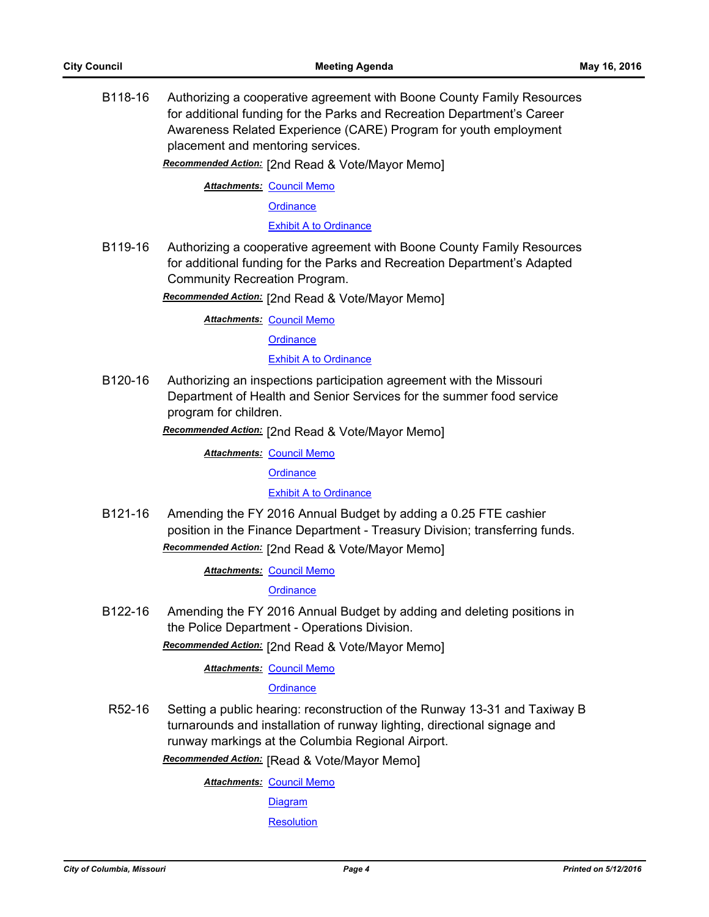B118-16 Authorizing a cooperative agreement with Boone County Family Resources for additional funding for the Parks and Recreation Department's Career Awareness Related Experience (CARE) Program for youth employment placement and mentoring services.

*Recommended Action:* [2nd Read & Vote/Mayor Memo]

**Attachments: [Council Memo](http://gocolumbiamo.legistar.com/gateway.aspx?M=F&ID=1d4f9088-c8a4-4073-8a87-62f046e833cd.docx)** 

**[Ordinance](http://gocolumbiamo.legistar.com/gateway.aspx?M=F&ID=a28282da-f215-43c1-bd1e-9623d4d440d6.doc)** 

[Exhibit A to Ordinance](http://gocolumbiamo.legistar.com/gateway.aspx?M=F&ID=c08d5991-6ae4-4206-8107-91ed71706257.pdf)

B119-16 Authorizing a cooperative agreement with Boone County Family Resources for additional funding for the Parks and Recreation Department's Adapted Community Recreation Program.

*Recommended Action:* [2nd Read & Vote/Mayor Memo]

**Attachments: [Council Memo](http://gocolumbiamo.legistar.com/gateway.aspx?M=F&ID=93d7b00f-0e5f-4a70-bca9-badd7b0dddd2.docx)** 

**[Ordinance](http://gocolumbiamo.legistar.com/gateway.aspx?M=F&ID=17ad31f4-c4ab-4a7b-9e87-49142f9ed74c.doc)** 

[Exhibit A to Ordinance](http://gocolumbiamo.legistar.com/gateway.aspx?M=F&ID=9982154f-18dd-4005-85f3-193c423aace6.pdf)

B120-16 Authorizing an inspections participation agreement with the Missouri Department of Health and Senior Services for the summer food service program for children.

*Recommended Action:* [2nd Read & Vote/Mayor Memo]

**Attachments: [Council Memo](http://gocolumbiamo.legistar.com/gateway.aspx?M=F&ID=b77a97ab-8db3-4b9f-ad8e-fca9713aba36.docx)** 

**[Ordinance](http://gocolumbiamo.legistar.com/gateway.aspx?M=F&ID=9950a060-7dcb-4504-870f-78a66c5107d7.doc)** 

[Exhibit A to Ordinance](http://gocolumbiamo.legistar.com/gateway.aspx?M=F&ID=5214d439-f2ca-445b-800f-2f91e901897f.pdf)

B121-16 Amending the FY 2016 Annual Budget by adding a 0.25 FTE cashier position in the Finance Department - Treasury Division; transferring funds. *Recommended Action:* [2nd Read & Vote/Mayor Memo]

**Attachments: [Council Memo](http://gocolumbiamo.legistar.com/gateway.aspx?M=F&ID=df419abe-6860-4973-816c-75f87e765c5e.docx)** 

**[Ordinance](http://gocolumbiamo.legistar.com/gateway.aspx?M=F&ID=554dfeaf-6bac-41ec-bdbf-25ea7686599d.doc)** 

B122-16 Amending the FY 2016 Annual Budget by adding and deleting positions in the Police Department - Operations Division.

*Recommended Action:* [2nd Read & Vote/Mayor Memo]

**Attachments: [Council Memo](http://gocolumbiamo.legistar.com/gateway.aspx?M=F&ID=8a921193-b3d9-4112-b5f3-569a8b116abc.docx)** 

#### **[Ordinance](http://gocolumbiamo.legistar.com/gateway.aspx?M=F&ID=bcdebeb5-3699-4f4b-9bcd-784e0b48c985.doc)**

R52-16 Setting a public hearing: reconstruction of the Runway 13-31 and Taxiway B turnarounds and installation of runway lighting, directional signage and runway markings at the Columbia Regional Airport.

*Recommended Action:* [Read & Vote/Mayor Memo]

**Attachments: [Council Memo](http://gocolumbiamo.legistar.com/gateway.aspx?M=F&ID=157aad4d-299a-4cdf-ad1a-21fb28859d6c.docx)** 

**[Diagram](http://gocolumbiamo.legistar.com/gateway.aspx?M=F&ID=e8ac34eb-8f18-4b3f-9651-477f7601d583.pdf)** 

**[Resolution](http://gocolumbiamo.legistar.com/gateway.aspx?M=F&ID=de35721c-040d-449f-8c60-545ef26fd56b.doc)**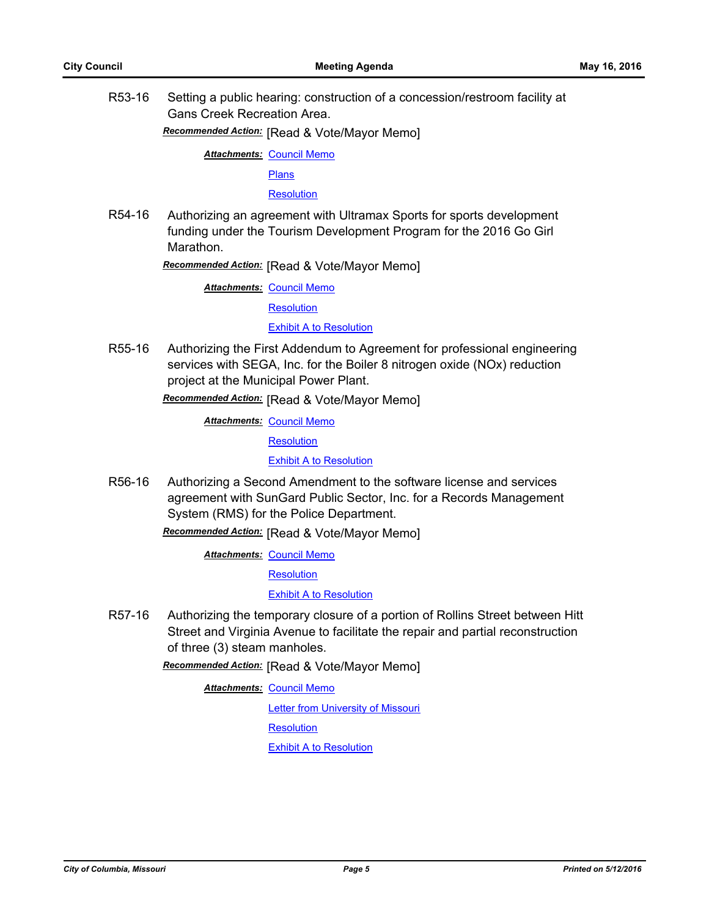R53-16 Setting a public hearing: construction of a concession/restroom facility at Gans Creek Recreation Area.

*Recommended Action:* [Read & Vote/Mayor Memo]

**Attachments: [Council Memo](http://gocolumbiamo.legistar.com/gateway.aspx?M=F&ID=78924703-505f-422e-a1f3-db71d0836de4.docx)** 

[Plans](http://gocolumbiamo.legistar.com/gateway.aspx?M=F&ID=60332222-e47e-4bcd-aa5e-ad67abf3be19.pdf)

**[Resolution](http://gocolumbiamo.legistar.com/gateway.aspx?M=F&ID=dd8d6a6d-c84a-4616-9960-3370712ee781.doc)** 

R54-16 Authorizing an agreement with Ultramax Sports for sports development funding under the Tourism Development Program for the 2016 Go Girl Marathon.

*Recommended Action:* [Read & Vote/Mayor Memo]

**Attachments: [Council Memo](http://gocolumbiamo.legistar.com/gateway.aspx?M=F&ID=a73e6825-7a18-4d08-b21f-8af6e71f456c.docx)** 

**[Resolution](http://gocolumbiamo.legistar.com/gateway.aspx?M=F&ID=72309382-6be4-4efd-97a7-42c93a3367ce.doc)** 

[Exhibit A to Resolution](http://gocolumbiamo.legistar.com/gateway.aspx?M=F&ID=7bd92ffa-6139-4fb7-93e4-6597077ddafb.doc)

R55-16 Authorizing the First Addendum to Agreement for professional engineering services with SEGA, Inc. for the Boiler 8 nitrogen oxide (NOx) reduction project at the Municipal Power Plant.

*Recommended Action:* [Read & Vote/Mayor Memo]

**Attachments: [Council Memo](http://gocolumbiamo.legistar.com/gateway.aspx?M=F&ID=5fdf2405-9d08-4730-8250-3a26c5cb4328.docx)** 

**[Resolution](http://gocolumbiamo.legistar.com/gateway.aspx?M=F&ID=b27d27fc-edaa-482c-9561-5ae0645ed404.doc)** 

[Exhibit A to Resolution](http://gocolumbiamo.legistar.com/gateway.aspx?M=F&ID=57e25462-c1a3-40bd-b30b-9b6a7fd403e8.pdf)

R56-16 Authorizing a Second Amendment to the software license and services agreement with SunGard Public Sector, Inc. for a Records Management System (RMS) for the Police Department.

*Recommended Action:* [Read & Vote/Mayor Memo]

**Attachments: [Council Memo](http://gocolumbiamo.legistar.com/gateway.aspx?M=F&ID=a2196e75-38b4-4691-8765-28eb2aada09b.docx)** 

**[Resolution](http://gocolumbiamo.legistar.com/gateway.aspx?M=F&ID=02ba8b42-6631-4e96-81c7-b7df811d2b6b.doc)** 

[Exhibit A to Resolution](http://gocolumbiamo.legistar.com/gateway.aspx?M=F&ID=7cfaac58-406e-48c1-b69a-232b06fcc8f5.pdf)

R57-16 Authorizing the temporary closure of a portion of Rollins Street between Hitt Street and Virginia Avenue to facilitate the repair and partial reconstruction of three (3) steam manholes.

*Recommended Action:* [Read & Vote/Mayor Memo]

**Attachments: [Council Memo](http://gocolumbiamo.legistar.com/gateway.aspx?M=F&ID=cedaa4b6-daf0-45e5-bb88-9197fb4a9648.docx)** 

[Letter from University of Missouri](http://gocolumbiamo.legistar.com/gateway.aspx?M=F&ID=fc665c08-858b-453f-9dbb-bc946cac6b8d.pdf) **[Resolution](http://gocolumbiamo.legistar.com/gateway.aspx?M=F&ID=3688e5b4-3c72-4f68-b1c1-61085ecba0dd.doc)** 

[Exhibit A to Resolution](http://gocolumbiamo.legistar.com/gateway.aspx?M=F&ID=2891e37d-ffe5-475c-82d5-04c896afe7b0.pdf)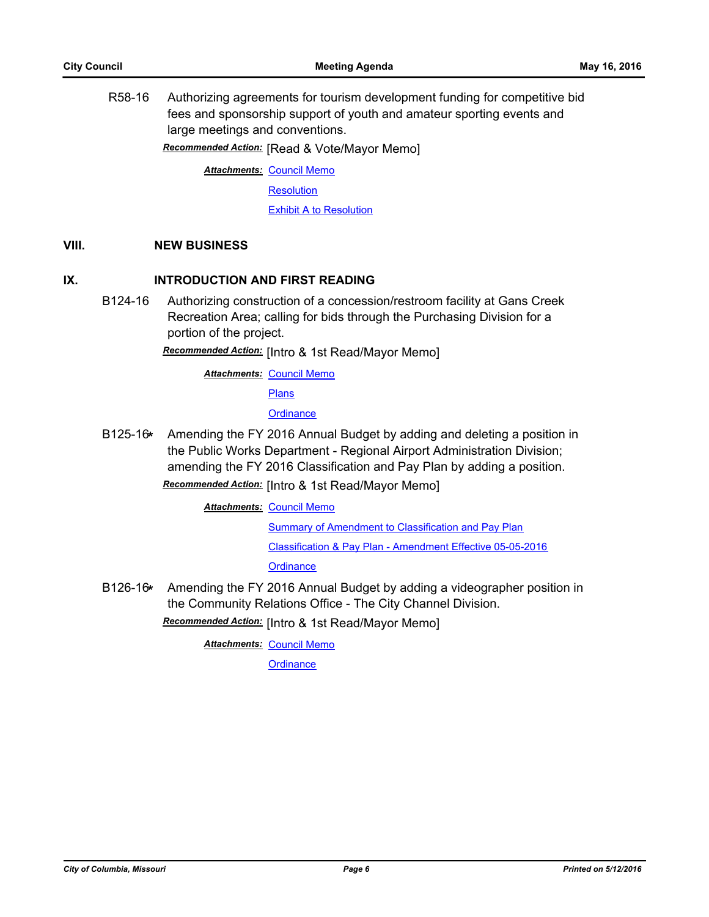R58-16 Authorizing agreements for tourism development funding for competitive bid fees and sponsorship support of youth and amateur sporting events and large meetings and conventions.

*Recommended Action:* [Read & Vote/Mayor Memo]

**Attachments: [Council Memo](http://gocolumbiamo.legistar.com/gateway.aspx?M=F&ID=c976160b-5435-42bd-ba97-fb2d3d39f317.docx)** 

**[Resolution](http://gocolumbiamo.legistar.com/gateway.aspx?M=F&ID=bede066c-f981-417f-ba02-9b35d1cd5642.doc)** 

**[Exhibit A to Resolution](http://gocolumbiamo.legistar.com/gateway.aspx?M=F&ID=a8972f74-7daa-464c-b056-1edd2bcd7ffa.doc)** 

#### **VIII. NEW BUSINESS**

## **IX. INTRODUCTION AND FIRST READING**

B124-16 Authorizing construction of a concession/restroom facility at Gans Creek Recreation Area; calling for bids through the Purchasing Division for a portion of the project.

*Recommended Action:* [Intro & 1st Read/Mayor Memo]

**Attachments: [Council Memo](http://gocolumbiamo.legistar.com/gateway.aspx?M=F&ID=fd6d9d26-a8af-4aad-8ff4-f1667b2db489.docx)** 

[Plans](http://gocolumbiamo.legistar.com/gateway.aspx?M=F&ID=e3dd5ffb-6945-4bb8-86cd-7812d64e9eaf.pdf)

**[Ordinance](http://gocolumbiamo.legistar.com/gateway.aspx?M=F&ID=c6fd181b-2780-45c7-b9e5-ad2afe36955b.doc)** 

B125-16**\*** Amending the FY 2016 Annual Budget by adding and deleting a position in the Public Works Department - Regional Airport Administration Division; amending the FY 2016 Classification and Pay Plan by adding a position.

*Recommended Action:* [Intro & 1st Read/Mayor Memo]

**Attachments: [Council Memo](http://gocolumbiamo.legistar.com/gateway.aspx?M=F&ID=27e79605-69f8-4687-b1d9-784101655e98.docx)** 

[Summary of Amendment to Classification and Pay Plan](http://gocolumbiamo.legistar.com/gateway.aspx?M=F&ID=f0f330f0-61da-4cdb-9d8e-4424fc3ef1b3.doc)

[Classification & Pay Plan - Amendment Effective 05-05-2016](http://gocolumbiamo.legistar.com/gateway.aspx?M=F&ID=3d22a07f-986c-4008-af70-8f0c90ed628a.pdf)

**[Ordinance](http://gocolumbiamo.legistar.com/gateway.aspx?M=F&ID=e76fcf0d-e69c-4e68-9522-0744c0805b1e.doc)** 

B126-16**\*** Amending the FY 2016 Annual Budget by adding a videographer position in the Community Relations Office - The City Channel Division.

*Recommended Action:* [Intro & 1st Read/Mayor Memo]

**Attachments: [Council Memo](http://gocolumbiamo.legistar.com/gateway.aspx?M=F&ID=91cf7a4b-21d0-442f-b56e-2d953c22dd13.docx)** 

**[Ordinance](http://gocolumbiamo.legistar.com/gateway.aspx?M=F&ID=4bab1646-54bb-4271-88b4-d03837dfe898.doc)**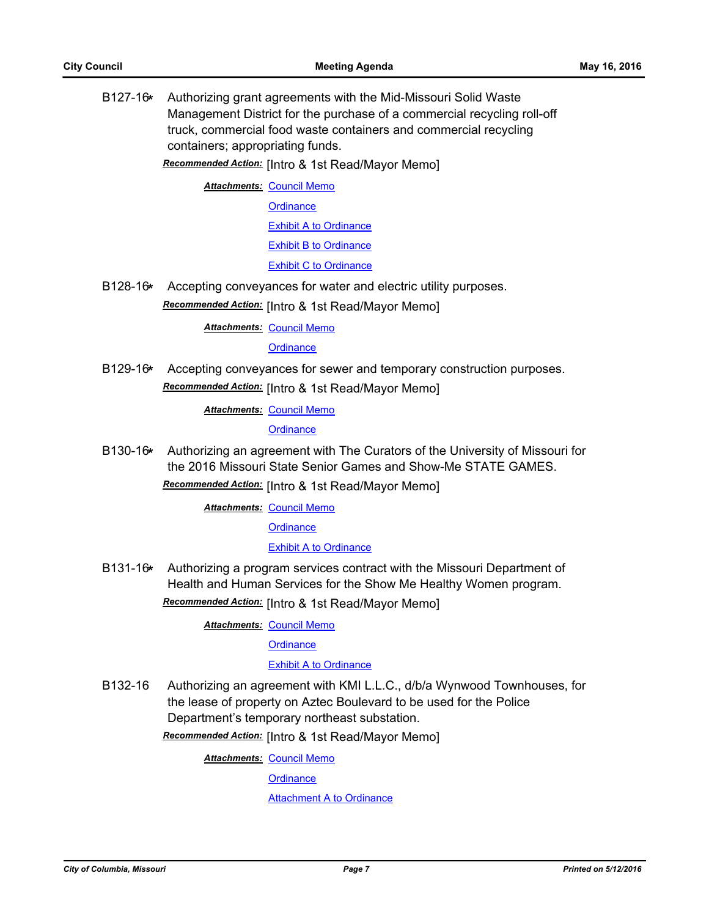B127-16**\*** Authorizing grant agreements with the Mid-Missouri Solid Waste Management District for the purchase of a commercial recycling roll-off truck, commercial food waste containers and commercial recycling containers; appropriating funds.

*Recommended Action:* [Intro & 1st Read/Mayor Memo]

**Attachments: [Council Memo](http://gocolumbiamo.legistar.com/gateway.aspx?M=F&ID=a2bb23eb-de2e-430b-bc9a-c1c8569d4db5.docx)** 

**[Ordinance](http://gocolumbiamo.legistar.com/gateway.aspx?M=F&ID=e4f45a15-79cb-49ca-8f1c-30167533cf43.doc)** 

[Exhibit A to Ordinance](http://gocolumbiamo.legistar.com/gateway.aspx?M=F&ID=294531d4-ff87-42dd-8ab5-89476908c7fb.pdf)

[Exhibit B to Ordinance](http://gocolumbiamo.legistar.com/gateway.aspx?M=F&ID=a166e48d-4e53-406f-9351-58432f7b4e11.pdf)

[Exhibit C to Ordinance](http://gocolumbiamo.legistar.com/gateway.aspx?M=F&ID=41c8bc6e-85f3-4173-a288-fa04f8918a99.pdf)

B128-16**\*** Accepting conveyances for water and electric utility purposes.

*Recommended Action:* [Intro & 1st Read/Mayor Memo]

**Attachments: [Council Memo](http://gocolumbiamo.legistar.com/gateway.aspx?M=F&ID=c4e8d7a4-d7de-4318-b7c5-56078980ff4c.docx)** 

**[Ordinance](http://gocolumbiamo.legistar.com/gateway.aspx?M=F&ID=dcbb379c-3a14-43c7-b878-37062616c722.doc)** 

B129-16**\*** Accepting conveyances for sewer and temporary construction purposes. *Recommended Action:* [Intro & 1st Read/Mayor Memo]

**Attachments: [Council Memo](http://gocolumbiamo.legistar.com/gateway.aspx?M=F&ID=4323361a-2b0f-4577-b34b-7f688f4d6fe3.docx)** 

**[Ordinance](http://gocolumbiamo.legistar.com/gateway.aspx?M=F&ID=7042a5ed-3960-46a5-a083-2f139bc583d5.doc)** 

B130-16**\*** Authorizing an agreement with The Curators of the University of Missouri for the 2016 Missouri State Senior Games and Show-Me STATE GAMES. *Recommended Action:* [Intro & 1st Read/Mayor Memo]

**Attachments: [Council Memo](http://gocolumbiamo.legistar.com/gateway.aspx?M=F&ID=040cdeb5-9b5c-499b-a6d2-8712beb084d3.docx)** 

**[Ordinance](http://gocolumbiamo.legistar.com/gateway.aspx?M=F&ID=31bedb88-58d7-40f3-95d1-44c138e09f9d.doc)** 

[Exhibit A to Ordinance](http://gocolumbiamo.legistar.com/gateway.aspx?M=F&ID=69d2769d-a8a4-4200-be41-1e4eea1f152e.doc)

B131-16**\*** Authorizing a program services contract with the Missouri Department of Health and Human Services for the Show Me Healthy Women program. *Recommended Action:* [Intro & 1st Read/Mayor Memo]

**Attachments: [Council Memo](http://gocolumbiamo.legistar.com/gateway.aspx?M=F&ID=c5285b57-9cf2-4de6-ac5b-95c3cb536303.docx)** 

**[Ordinance](http://gocolumbiamo.legistar.com/gateway.aspx?M=F&ID=bb93bb37-eb7d-4706-8017-9a7669a2b95f.doc)** 

#### [Exhibit A to Ordinance](http://gocolumbiamo.legistar.com/gateway.aspx?M=F&ID=00f6c44a-294b-4e1b-beab-a0ae2d0394d4.pdf)

B132-16 Authorizing an agreement with KMI L.L.C., d/b/a Wynwood Townhouses, for the lease of property on Aztec Boulevard to be used for the Police Department's temporary northeast substation.

*Recommended Action:* [Intro & 1st Read/Mayor Memo]

**Attachments: [Council Memo](http://gocolumbiamo.legistar.com/gateway.aspx?M=F&ID=faacc024-388d-420e-8a2e-7578f7040d72.docx)** 

**[Ordinance](http://gocolumbiamo.legistar.com/gateway.aspx?M=F&ID=50534244-dae5-498d-ad78-60c4b1834874.doc)** 

[Attachment A to Ordinance](http://gocolumbiamo.legistar.com/gateway.aspx?M=F&ID=af7d8d8f-c90a-46b7-a67c-6ba552852ff4.pdf)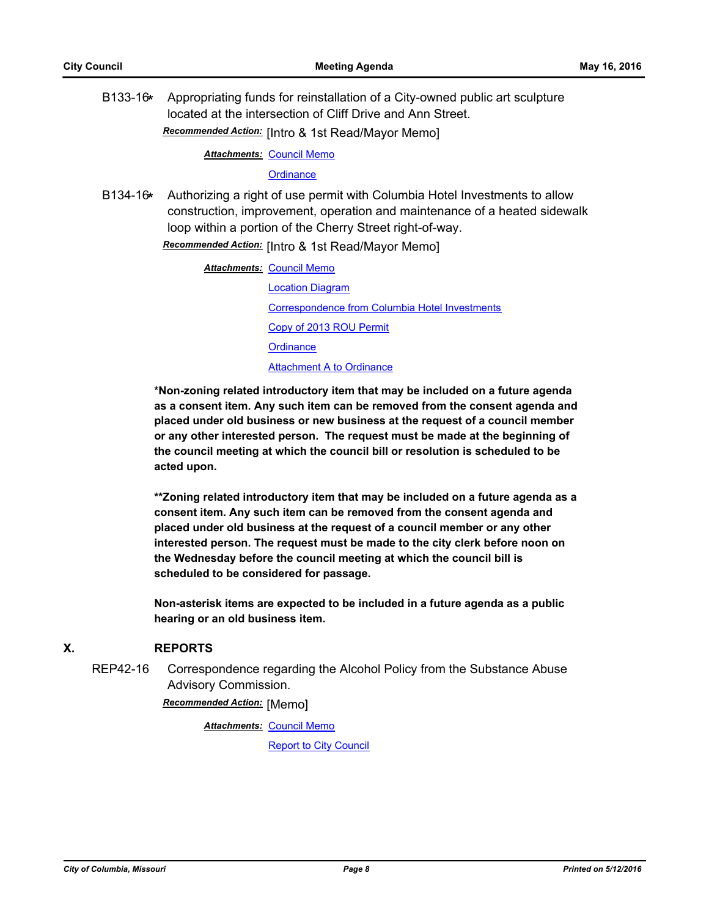B133-16**\*** Appropriating funds for reinstallation of a City-owned public art sculpture located at the intersection of Cliff Drive and Ann Street. *Recommended Action:* [Intro & 1st Read/Mayor Memo]

**Attachments: [Council Memo](http://gocolumbiamo.legistar.com/gateway.aspx?M=F&ID=d3242eb1-a59a-4940-9536-21c7e2c7212d.docx)** 

#### **[Ordinance](http://gocolumbiamo.legistar.com/gateway.aspx?M=F&ID=f65e9e0c-c6ec-46d4-87ec-59e29e4f45a0.doc)**

B134-16**\*** Authorizing a right of use permit with Columbia Hotel Investments to allow construction, improvement, operation and maintenance of a heated sidewalk loop within a portion of the Cherry Street right-of-way.

*Recommended Action:* [Intro & 1st Read/Mayor Memo]

| Attachments: Council Memo                      |
|------------------------------------------------|
| <b>Location Diagram</b>                        |
| Correspondence from Columbia Hotel Investments |
| Copy of 2013 ROU Permit                        |
| Ordinance                                      |
| <b>Attachment A to Ordinance</b>               |
|                                                |

**\*Non-zoning related introductory item that may be included on a future agenda as a consent item. Any such item can be removed from the consent agenda and placed under old business or new business at the request of a council member or any other interested person. The request must be made at the beginning of the council meeting at which the council bill or resolution is scheduled to be acted upon.** 

**\*\*Zoning related introductory item that may be included on a future agenda as a consent item. Any such item can be removed from the consent agenda and placed under old business at the request of a council member or any other interested person. The request must be made to the city clerk before noon on the Wednesday before the council meeting at which the council bill is scheduled to be considered for passage.**

**Non-asterisk items are expected to be included in a future agenda as a public hearing or an old business item.**

## **X. REPORTS**

REP42-16 Correspondence regarding the Alcohol Policy from the Substance Abuse Advisory Commission.

*Recommended Action:* [Memo]

**Attachments: [Council Memo](http://gocolumbiamo.legistar.com/gateway.aspx?M=F&ID=4f49d874-ca77-4a68-ae46-12e763dd52aa.docx)** [Report to City Council](http://gocolumbiamo.legistar.com/gateway.aspx?M=F&ID=23ab36fe-19b8-41a9-bf8c-88a47dc07bb2.doc)